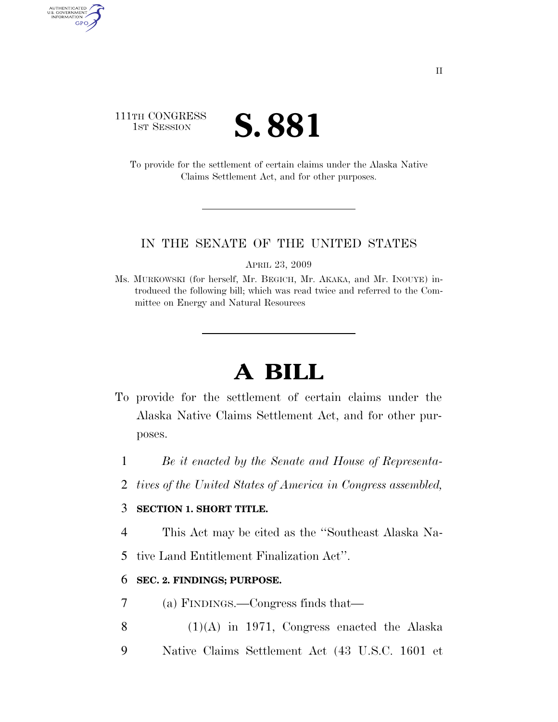# 111TH CONGRESS **IST SESSION S. 881**

AUTHENTICATED<br>U.S. GOVERNMENT<br>INFORMATION

GPO

To provide for the settlement of certain claims under the Alaska Native Claims Settlement Act, and for other purposes.

#### IN THE SENATE OF THE UNITED STATES

APRIL 23, 2009

Ms. MURKOWSKI (for herself, Mr. BEGICH, Mr. AKAKA, and Mr. INOUYE) introduced the following bill; which was read twice and referred to the Committee on Energy and Natural Resources

# **A BILL**

- To provide for the settlement of certain claims under the Alaska Native Claims Settlement Act, and for other purposes.
	- 1 *Be it enacted by the Senate and House of Representa-*
	- 2 *tives of the United States of America in Congress assembled,*

#### 3 **SECTION 1. SHORT TITLE.**

- 4 This Act may be cited as the ''Southeast Alaska Na-
- 5 tive Land Entitlement Finalization Act''.

#### 6 **SEC. 2. FINDINGS; PURPOSE.**

- 7 (a) FINDINGS.—Congress finds that—
- 8  $(1)(A)$  in 1971, Congress enacted the Alaska
- 9 Native Claims Settlement Act (43 U.S.C. 1601 et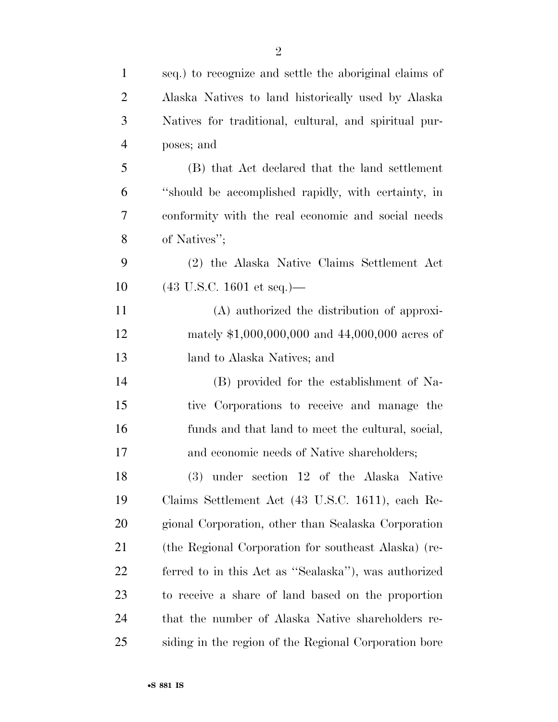| $\mathbf{1}$   | seq.) to recognize and settle the aboriginal claims of |
|----------------|--------------------------------------------------------|
| $\overline{2}$ | Alaska Natives to land historically used by Alaska     |
| 3              | Natives for traditional, cultural, and spiritual pur-  |
| $\overline{4}$ | poses; and                                             |
| 5              | (B) that Act declared that the land settlement         |
| 6              | "should be accomplished rapidly, with certainty, in    |
| 7              | conformity with the real economic and social needs     |
| 8              | of Natives";                                           |
| 9              | (2) the Alaska Native Claims Settlement Act            |
| 10             | $(43 \text{ U.S.C. } 1601 \text{ et seq.})$ —          |
| 11             | (A) authorized the distribution of approxi-            |
| 12             | mately $$1,000,000,000$ and $44,000,000$ acres of      |
| 13             | land to Alaska Natives; and                            |
| 14             | (B) provided for the establishment of Na-              |
| 15             | tive Corporations to receive and manage the            |
| 16             | funds and that land to meet the cultural, social,      |
| 17             | and economic needs of Native shareholders;             |
| 18             | (3) under section 12 of the Alaska Native              |
| 19             | Claims Settlement Act (43 U.S.C. 1611), each Re-       |
| 20             | gional Corporation, other than Sealaska Corporation    |
| 21             | (the Regional Corporation for southeast Alaska) (re-   |
| 22             | ferred to in this Act as "Sealaska"), was authorized   |
| 23             | to receive a share of land based on the proportion     |
| 24             | that the number of Alaska Native shareholders re-      |
| 25             | siding in the region of the Regional Corporation bore  |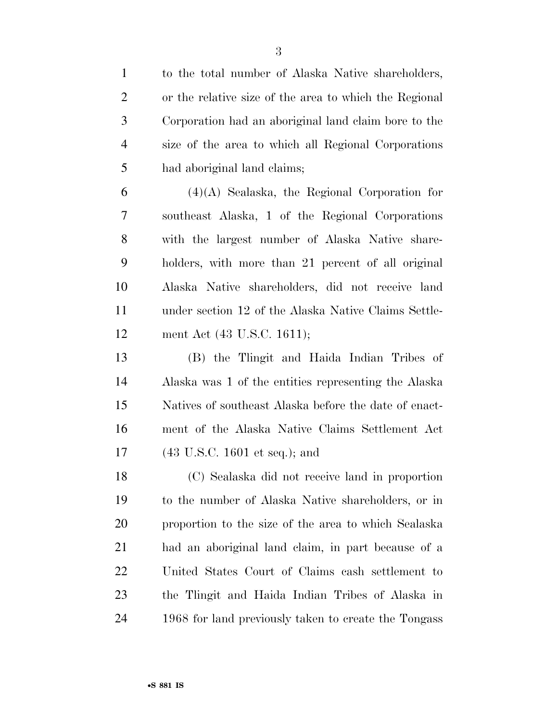| $\mathbf{1}$   | to the total number of Alaska Native shareholders,     |
|----------------|--------------------------------------------------------|
| $\overline{2}$ | or the relative size of the area to which the Regional |
| 3              | Corporation had an aboriginal land claim bore to the   |
| $\overline{4}$ | size of the area to which all Regional Corporations    |
| 5              | had aboriginal land claims;                            |
| 6              | $(4)(A)$ Sealaska, the Regional Corporation for        |
| 7              | southeast Alaska, 1 of the Regional Corporations       |
| 8              | with the largest number of Alaska Native share-        |
| 9              | holders, with more than 21 percent of all original     |
| 10             | Alaska Native shareholders, did not receive land       |
| 11             | under section 12 of the Alaska Native Claims Settle-   |
| 12             | ment Act (43 U.S.C. 1611);                             |
| 13             | (B) the Tlingit and Haida Indian Tribes of             |
| 14             | Alaska was 1 of the entities representing the Alaska   |
| 15             | Natives of southeast Alaska before the date of enact-  |
| 16             | ment of the Alaska Native Claims Settlement Act        |
| 17             | $(43 \text{ U.S.C. } 1601 \text{ et seq.});$ and       |
| 18             | (C) Sealaska did not receive land in proportion        |
| 19             | to the number of Alaska Native shareholders, or in     |
| 20             | proportion to the size of the area to which Sealaska   |
| 21             | had an aboriginal land claim, in part because of a     |
| 22             | United States Court of Claims cash settlement to       |
| 23             | the Tlingit and Haida Indian Tribes of Alaska in       |
| 24             | 1968 for land previously taken to create the Tongass   |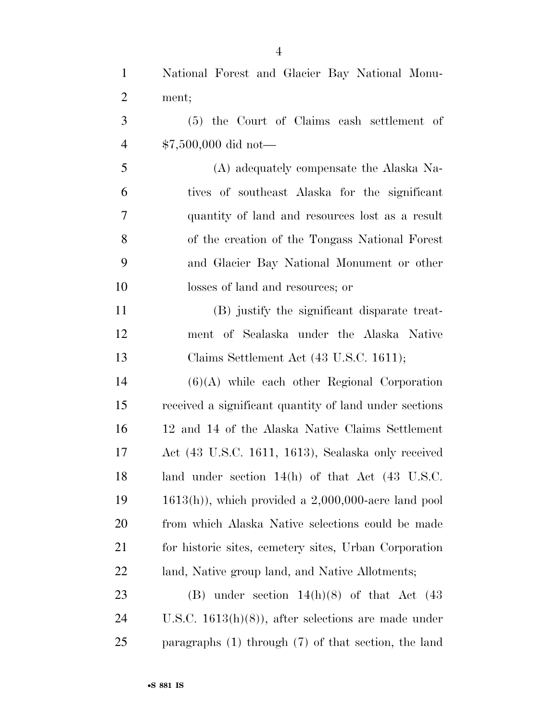| $\mathbf{1}$   | National Forest and Glacier Bay National Monu-               |
|----------------|--------------------------------------------------------------|
| $\overline{2}$ | ment;                                                        |
| 3              | (5) the Court of Claims cash settlement of                   |
| $\overline{4}$ | $$7,500,000$ did not-                                        |
| 5              | (A) adequately compensate the Alaska Na-                     |
| 6              | tives of southeast Alaska for the significant                |
| 7              | quantity of land and resources lost as a result              |
| 8              | of the creation of the Tongass National Forest               |
| 9              | and Glacier Bay National Monument or other                   |
| 10             | losses of land and resources; or                             |
| 11             | (B) justify the significant disparate treat-                 |
| 12             | ment of Sealaska under the Alaska Native                     |
| 13             | Claims Settlement Act (43 U.S.C. 1611);                      |
| 14             | $(6)(A)$ while each other Regional Corporation               |
| 15             | received a significant quantity of land under sections       |
| 16             | 12 and 14 of the Alaska Native Claims Settlement             |
| 17             | Act (43 U.S.C. 1611, 1613), Sealaska only received           |
| 18             | land under section $14(h)$ of that Act $(43 \text{ U.S.C.})$ |
| 19             | $1613(h)$ , which provided a $2,000,000$ -acre land pool     |
| 20             | from which Alaska Native selections could be made            |
| 21             | for historic sites, cemetery sites, Urban Corporation        |
| 22             | land, Native group land, and Native Allotments;              |
| 23             | (B) under section $14(h)(8)$ of that Act (43)                |
| 24             | U.S.C. $1613(h)(8)$ , after selections are made under        |
| 25             | paragraphs $(1)$ through $(7)$ of that section, the land     |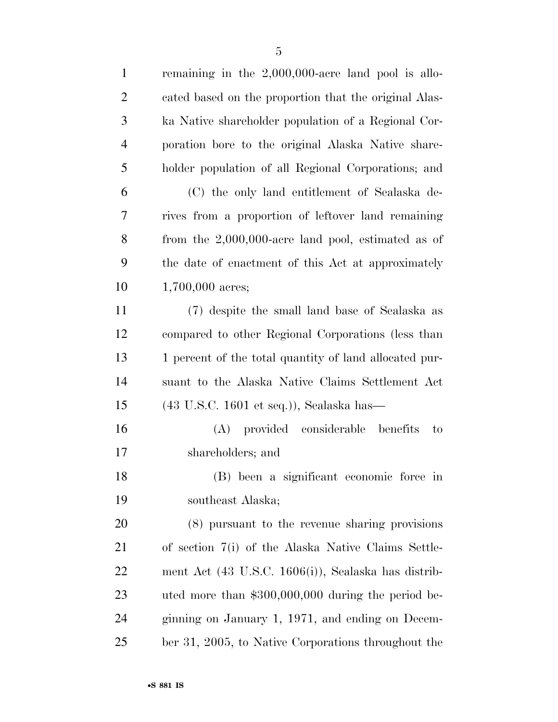| $\mathbf{1}$   | remaining in the $2,000,000$ -acre land pool is allo-           |
|----------------|-----------------------------------------------------------------|
| $\overline{2}$ | cated based on the proportion that the original Alas-           |
| 3              | ka Native shareholder population of a Regional Cor-             |
| $\overline{4}$ | poration bore to the original Alaska Native share-              |
| 5              | holder population of all Regional Corporations; and             |
| 6              | (C) the only land entitlement of Sealaska de-                   |
| 7              | rives from a proportion of leftover land remaining              |
| 8              | from the $2,000,000$ -acre land pool, estimated as of           |
| 9              | the date of enactment of this Act at approximately              |
| 10             | $1,700,000$ acres;                                              |
| 11             | (7) despite the small land base of Sealaska as                  |
| 12             | compared to other Regional Corporations (less than              |
| 13             | 1 percent of the total quantity of land allocated pur-          |
| 14             | suant to the Alaska Native Claims Settlement Act                |
| 15             | $(43 \text{ U.S.C. } 1601 \text{ et seq.})),$ Sealaska has—     |
| 16             | (A) provided considerable benefits<br>to                        |
| 17             | shareholders; and                                               |
| 18             | (B) been a significant economic force in                        |
| 19             | southeast Alaska;                                               |
| 20             | (8) pursuant to the revenue sharing provisions                  |
| 21             | of section 7(i) of the Alaska Native Claims Settle-             |
| 22             | ment Act $(43 \text{ U.S.C. } 1606(i))$ , Sealaska has distrib- |
| 23             | uted more than $$300,000,000$ during the period be-             |
| 24             | ginning on January 1, 1971, and ending on Decem-                |
| 25             | ber 31, 2005, to Native Corporations throughout the             |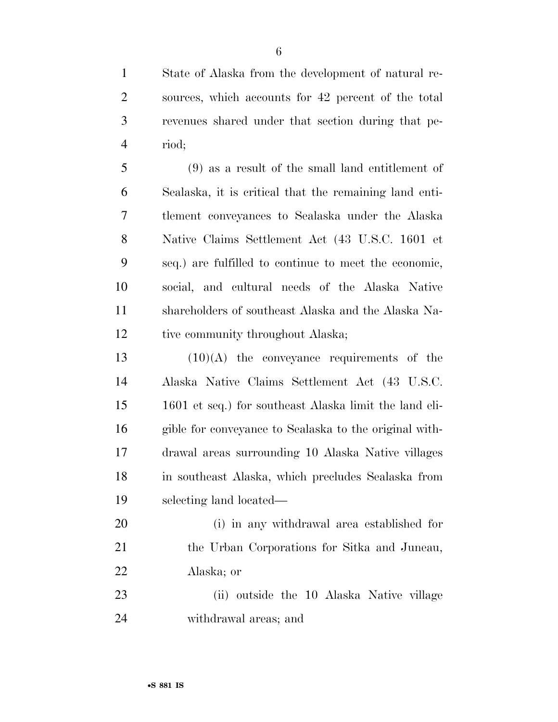State of Alaska from the development of natural re- sources, which accounts for 42 percent of the total revenues shared under that section during that pe-riod;

 (9) as a result of the small land entitlement of Sealaska, it is critical that the remaining land enti- tlement conveyances to Sealaska under the Alaska Native Claims Settlement Act (43 U.S.C. 1601 et seq.) are fulfilled to continue to meet the economic, social, and cultural needs of the Alaska Native shareholders of southeast Alaska and the Alaska Na-12 tive community throughout Alaska;

 $(10)(A)$  the conveyance requirements of the Alaska Native Claims Settlement Act (43 U.S.C. 1601 et seq.) for southeast Alaska limit the land eli- gible for conveyance to Sealaska to the original with- drawal areas surrounding 10 Alaska Native villages in southeast Alaska, which precludes Sealaska from selecting land located—

 (i) in any withdrawal area established for the Urban Corporations for Sitka and Juneau, Alaska; or

 (ii) outside the 10 Alaska Native village withdrawal areas; and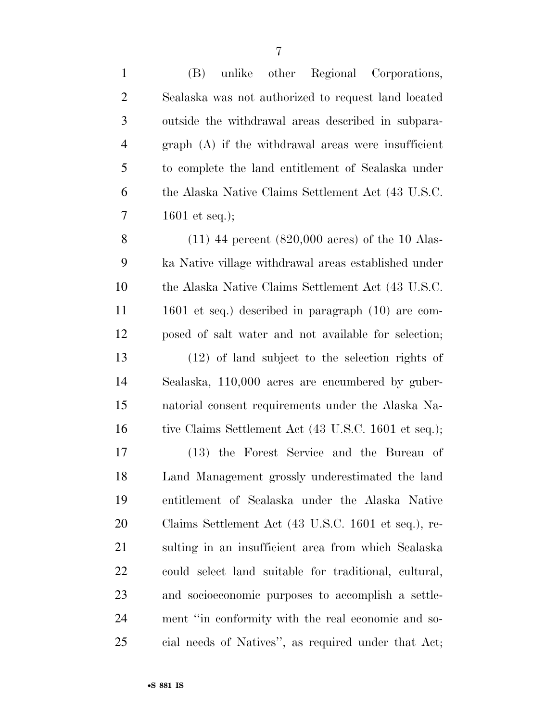| $\mathbf{1}$   | (B)<br>unlike other Regional Corporations,                  |
|----------------|-------------------------------------------------------------|
| $\overline{2}$ | Sealaska was not authorized to request land located         |
| 3              | outside the withdrawal areas described in subpara-          |
| $\overline{4}$ | $graph(A)$ if the withdrawal areas were insufficient        |
| 5              | to complete the land entitlement of Sealaska under          |
| 6              | the Alaska Native Claims Settlement Act (43 U.S.C.          |
| 7              | 1601 et seq.);                                              |
| 8              | $(11)$ 44 percent $(820,000 \text{ acres})$ of the 10 Alas- |
| 9              | ka Native village withdrawal areas established under        |
| 10             | the Alaska Native Claims Settlement Act (43 U.S.C.          |
| 11             | $1601$ et seq.) described in paragraph $(10)$ are com-      |
| 12             | posed of salt water and not available for selection;        |
| 13             | $(12)$ of land subject to the selection rights of           |
| 14             | Sealaska, 110,000 acres are encumbered by guber-            |
| 15             | natorial consent requirements under the Alaska Na-          |
| 16             | tive Claims Settlement Act (43 U.S.C. 1601 et seq.);        |
| 17             | the Forest Service and the Bureau of<br>(13)                |
| 18             | Land Management grossly underestimated the land             |
| 19             | entitlement of Sealaska under the Alaska Native             |
| <b>20</b>      | Claims Settlement Act (43 U.S.C. 1601 et seq.), re-         |
| 21             | sulting in an insufficient area from which Sealaska         |
| 22             | could select land suitable for traditional, cultural,       |
| 23             | and socioeconomic purposes to accomplish a settle-          |
| 24             | ment "in conformity with the real economic and so-          |
| 25             | cial needs of Natives", as required under that Act;         |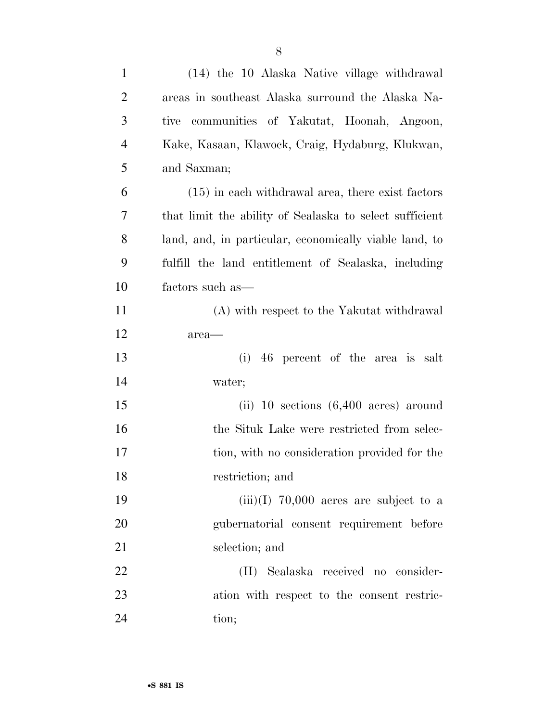| $\mathbf{1}$   | (14) the 10 Alaska Native village withdrawal            |
|----------------|---------------------------------------------------------|
| $\overline{2}$ | areas in southeast Alaska surround the Alaska Na-       |
| 3              | communities of Yakutat, Hoonah, Angoon,<br>tive         |
| $\overline{4}$ | Kake, Kasaan, Klawock, Craig, Hydaburg, Klukwan,        |
| 5              | and Saxman;                                             |
| 6              | $(15)$ in each withdrawal area, there exist factors     |
| 7              | that limit the ability of Sealaska to select sufficient |
| 8              | land, and, in particular, economically viable land, to  |
| 9              | fulfill the land entitlement of Sealaska, including     |
| 10             | factors such as—                                        |
| 11             | (A) with respect to the Yakutat withdrawal              |
| 12             | area—                                                   |
| 13             | (i)<br>46 percent of the area is salt                   |
| 14             | water;                                                  |
| 15             | (ii) 10 sections $(6,400 \text{ acres})$ around         |
| 16             | the Situk Lake were restricted from selec-              |
| 17             | tion, with no consideration provided for the            |
| 18             | restriction; and                                        |
| 19             | $(iii)(I)$ 70,000 acres are subject to a                |
| 20             | gubernatorial consent requirement before                |
| 21             | selection; and                                          |
| 22             | (II) Sealaska received no consider-                     |
| 23             | ation with respect to the consent restric-              |
| 24             | tion;                                                   |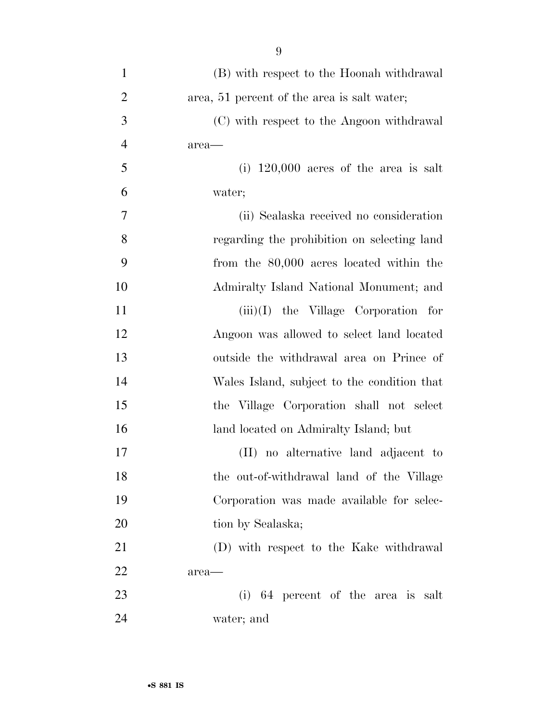| $\mathbf{1}$   | (B) with respect to the Hoonah withdrawal   |
|----------------|---------------------------------------------|
| $\overline{2}$ | area, 51 percent of the area is salt water; |
| 3              | (C) with respect to the Angoon withdrawal   |
| $\overline{4}$ | area-                                       |
| 5              | $(i)$ 120,000 acres of the area is salt     |
| 6              | water;                                      |
| 7              | (ii) Sealaska received no consideration     |
| 8              | regarding the prohibition on selecting land |
| 9              | from the 80,000 acres located within the    |
| 10             | Admiralty Island National Monument; and     |
| 11             | $(iii)(I)$ the Village Corporation for      |
| 12             | Angoon was allowed to select land located   |
| 13             | outside the withdrawal area on Prince of    |
| 14             | Wales Island, subject to the condition that |
| 15             | the Village Corporation shall not select    |
| 16             | land located on Admiralty Island; but       |
| 17             | (II) no alternative land adjacent to        |
| 18             | the out-of-withdrawal land of the Village   |
| 19             | Corporation was made available for selec-   |
| 20             | tion by Sealaska;                           |
| 21             | (D) with respect to the Kake withdrawal     |
| 22             | area—                                       |
| 23             | (i) 64 percent of the area is salt          |
| 24             | water; and                                  |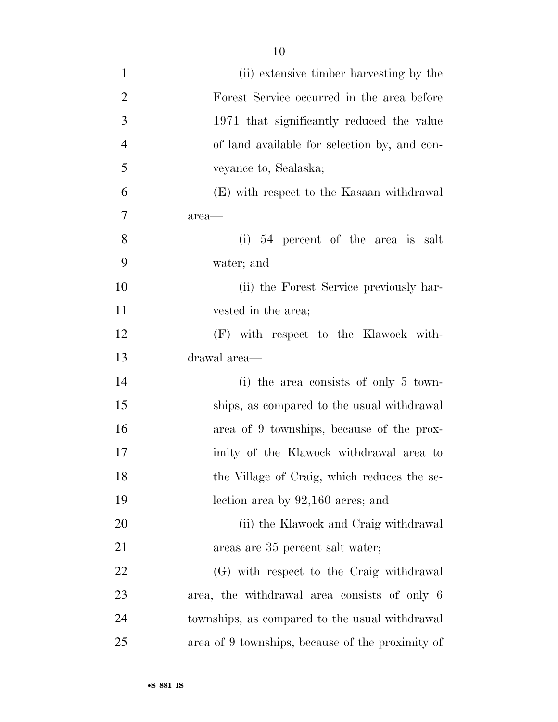| $\mathbf{1}$   | (ii) extensive timber harvesting by the          |
|----------------|--------------------------------------------------|
| $\overline{2}$ | Forest Service occurred in the area before       |
| 3              | 1971 that significantly reduced the value        |
| $\overline{4}$ | of land available for selection by, and con-     |
| 5              | veyance to, Sealaska;                            |
| 6              | (E) with respect to the Kasaan withdrawal        |
| 7              | area—                                            |
| 8              | $(i)$ 54 percent of the area is salt             |
| 9              | water; and                                       |
| 10             | (ii) the Forest Service previously har-          |
| 11             | vested in the area;                              |
| 12             | (F) with respect to the Klawock with-            |
| 13             | drawal area-                                     |
| 14             | (i) the area consists of only $5 \text{ town}$   |
| 15             | ships, as compared to the usual withdrawal       |
| 16             | area of 9 townships, because of the prox-        |
| 17             | imity of the Klawock withdrawal area to          |
| 18             | the Village of Craig, which reduces the se-      |
| 19             | lection area by $92,160$ acres; and              |
| 20             | (ii) the Klawock and Craig withdrawal            |
| 21             | areas are 35 percent salt water;                 |
| 22             | (G) with respect to the Craig withdrawal         |
| 23             | area, the withdrawal area consists of only 6     |
| 24             | townships, as compared to the usual withdrawal   |
| 25             | area of 9 townships, because of the proximity of |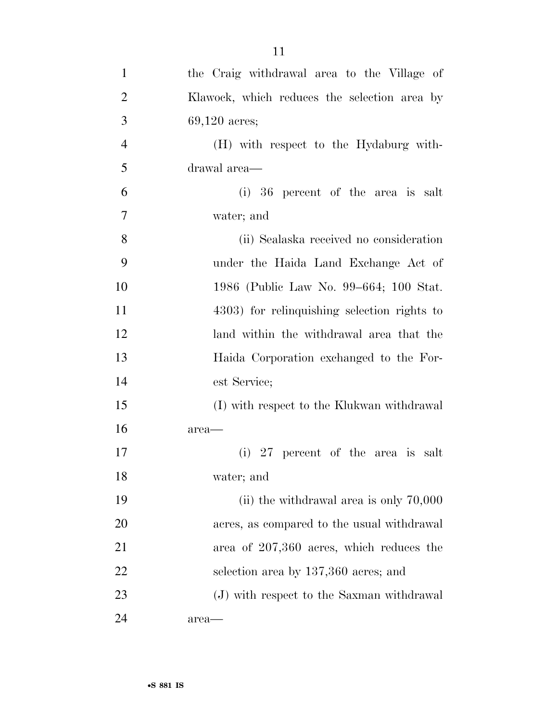| $\mathbf{1}$   | the Craig withdrawal area to the Village of  |
|----------------|----------------------------------------------|
| $\overline{2}$ | Klawock, which reduces the selection area by |
| 3              | $69,120$ acres;                              |
| $\overline{4}$ | (H) with respect to the Hydaburg with-       |
| 5              | drawal area—                                 |
| 6              | (i) 36 percent of the area is salt           |
| 7              | water; and                                   |
| 8              | (ii) Sealaska received no consideration      |
| 9              | under the Haida Land Exchange Act of         |
| 10             | 1986 (Public Law No. 99–664; 100 Stat.       |
| 11             | 4303) for relinquishing selection rights to  |
| 12             | land within the withdrawal area that the     |
| 13             | Haida Corporation exchanged to the For-      |
| 14             | est Service;                                 |
| 15             | (I) with respect to the Klukwan withdrawal   |
| 16             | area—                                        |
| 17             | (i) 27 percent of the area is salt           |
| 18             | water; and                                   |
| 19             | (ii) the withdrawal area is only $70,000$    |
| 20             | acres, as compared to the usual withdrawal   |
| 21             | area of $207,360$ acres, which reduces the   |
| 22             | selection area by 137,360 acres; and         |
| 23             | (J) with respect to the Saxman withdrawal    |
| 24             | area—                                        |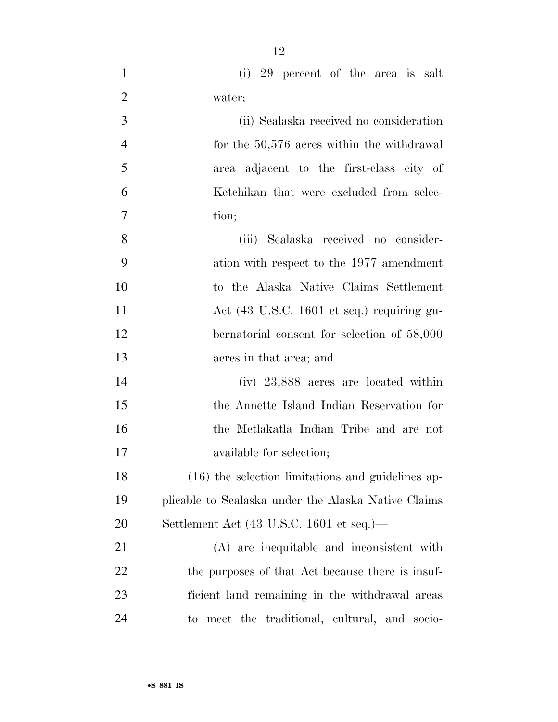- (i) 29 percent of the area is salt water; (ii) Sealaska received no consideration 4 for the 50,576 acres within the withdrawal area adjacent to the first-class city of Ketchikan that were excluded from selec- tion; (iii) Sealaska received no consider- ation with respect to the 1977 amendment to the Alaska Native Claims Settlement Act (43 U.S.C. 1601 et seq.) requiring gu- bernatorial consent for selection of 58,000 acres in that area; and (iv) 23,888 acres are located within the Annette Island Indian Reservation for the Metlakatla Indian Tribe and are not available for selection; (16) the selection limitations and guidelines ap- plicable to Sealaska under the Alaska Native Claims Settlement Act (43 U.S.C. 1601 et seq.)— (A) are inequitable and inconsistent with 22 the purposes of that Act because there is insuf-
- ficient land remaining in the withdrawal areas to meet the traditional, cultural, and socio-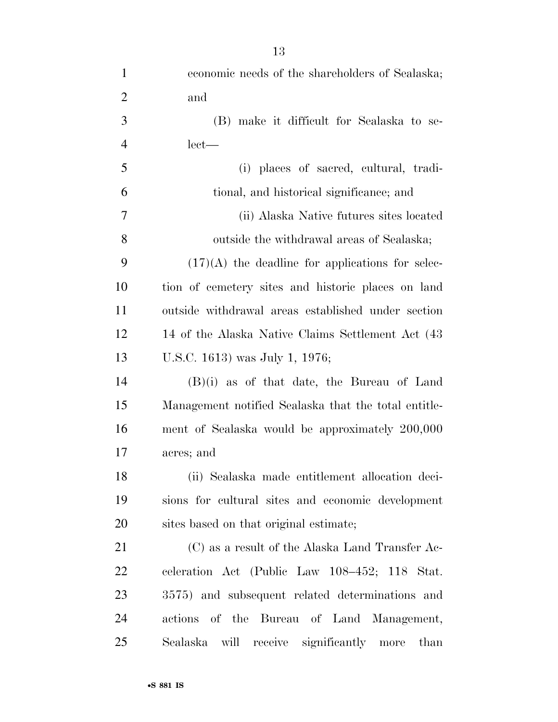| $\mathbf{1}$   | economic needs of the shareholders of Sealaska;      |
|----------------|------------------------------------------------------|
| $\overline{2}$ | and                                                  |
| 3              | (B) make it difficult for Sealaska to se-            |
| $\overline{4}$ | $let$ —                                              |
| 5              | (i) places of sacred, cultural, tradi-               |
| 6              | tional, and historical significance; and             |
| 7              | (ii) Alaska Native futures sites located             |
| 8              | outside the withdrawal areas of Sealaska;            |
| 9              | $(17)(A)$ the deadline for applications for selec-   |
| 10             | tion of cemetery sites and historic places on land   |
| 11             | outside withdrawal areas established under section   |
| 12             | 14 of the Alaska Native Claims Settlement Act (43)   |
| 13             | U.S.C. 1613) was July 1, 1976;                       |
| 14             | $(B)(i)$ as of that date, the Bureau of Land         |
| 15             | Management notified Sealaska that the total entitle- |
| 16             | ment of Sealaska would be approximately 200,000      |
| 17             | acres; and                                           |
| 18             | (ii) Sealaska made entitlement allocation deci-      |
| 19             | sions for cultural sites and economic development    |
| 20             | sites based on that original estimate;               |
| 21             | $(C)$ as a result of the Alaska Land Transfer Ac-    |
| 22             | celeration Act (Public Law 108-452; 118 Stat.        |
| 23             | 3575) and subsequent related determinations and      |
| 24             | actions of the Bureau of Land Management,            |
| 25             | Sealaska will receive significantly more<br>than     |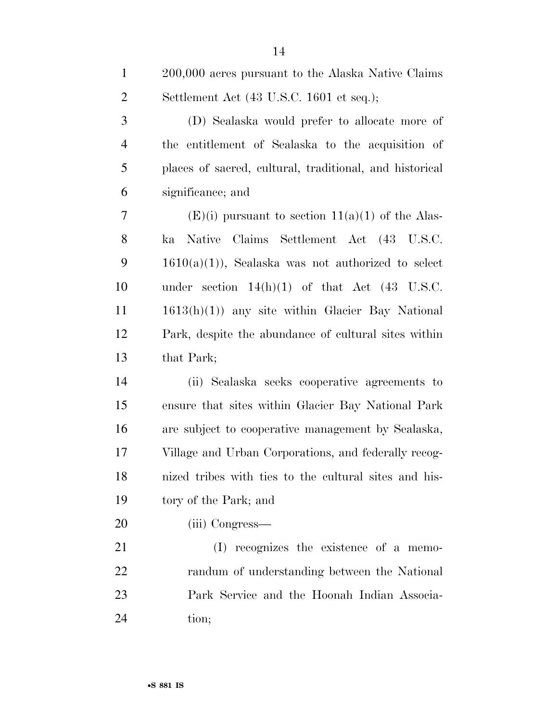| $\mathbf{1}$   | 200,000 acres pursuant to the Alaska Native Claims         |
|----------------|------------------------------------------------------------|
| $\overline{2}$ | Settlement Act (43 U.S.C. 1601 et seq.);                   |
| 3              | (D) Sealaska would prefer to allocate more of              |
| $\overline{4}$ | the entitlement of Sealaska to the acquisition of          |
| 5              | places of sacred, cultural, traditional, and historical    |
| 6              | significance; and                                          |
| 7              | $(E)(i)$ pursuant to section $11(a)(1)$ of the Alas-       |
| 8              | Native Claims Settlement Act (43 U.S.C.<br>ka              |
| 9              | $1610(a)(1)$ , Sealaska was not authorized to select       |
| 10             | under section $14(h)(1)$ of that Act $(43 \text{ U.S.C.})$ |
| 11             | $1613(h)(1)$ any site within Glacier Bay National          |
| 12             | Park, despite the abundance of cultural sites within       |
| 13             | that Park;                                                 |
| 14             | (ii) Sealaska seeks cooperative agreements to              |
| 15             | ensure that sites within Glacier Bay National Park         |
| 16             | are subject to cooperative management by Sealaska,         |
| 17             | Village and Urban Corporations, and federally recog-       |
| 18             | nized tribes with ties to the cultural sites and his-      |
| 19             | tory of the Park; and                                      |
| 20             | (iii) Congress—                                            |
| 21             | (I) recognizes the existence of a memo-                    |
| 22             | randum of understanding between the National               |
| 23             | Park Service and the Hoonah Indian Associa-                |

tion;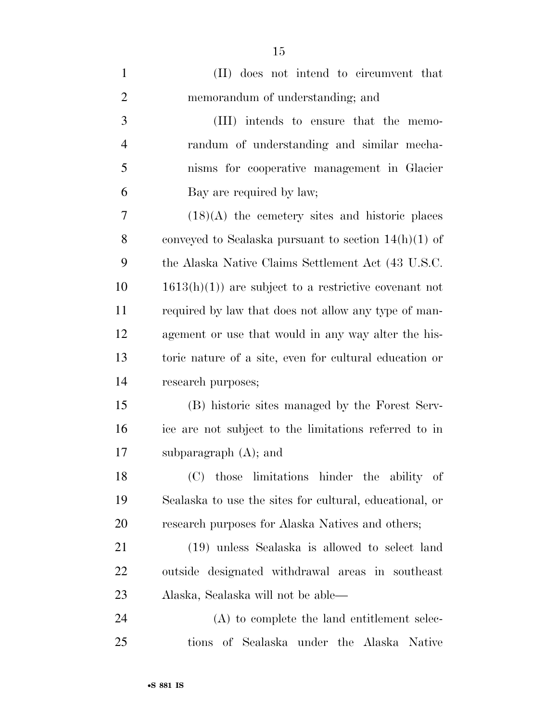| $\mathbf{1}$   | (II) does not intend to circumvent that                 |
|----------------|---------------------------------------------------------|
| $\overline{2}$ | memorandum of understanding; and                        |
| 3              | (III) intends to ensure that the memo-                  |
| 4              | randum of understanding and similar mecha-              |
| 5              | nisms for cooperative management in Glacier             |
| 6              | Bay are required by law;                                |
| 7              | $(18)(A)$ the cemetery sites and historic places        |
| 8              | conveyed to Sealaska pursuant to section $14(h)(1)$ of  |
| 9              | the Alaska Native Claims Settlement Act (43 U.S.C.      |
| 10             | $1613(h)(1)$ are subject to a restrictive covenant not  |
| 11             | required by law that does not allow any type of man-    |
| 12             | agement or use that would in any way alter the his-     |
| 13             | toric nature of a site, even for cultural education or  |
| 14             | research purposes;                                      |
| 15             | (B) historic sites managed by the Forest Serv-          |
| 16             | ice are not subject to the limitations referred to in   |
| 17             | subparagraph $(A)$ ; and                                |
| 18             | those limitations hinder the ability of<br>(C)          |
| 19             | Sealaska to use the sites for cultural, educational, or |
| 20             | research purposes for Alaska Natives and others;        |
| 21             | (19) unless Sealaska is allowed to select land          |
| <u>22</u>      | outside designated withdrawal areas in southeast        |
| 23             | Alaska, Sealaska will not be able—                      |
| 24             | (A) to complete the land entitlement selec-             |
| 25             | tions of Sealaska under the Alaska Native               |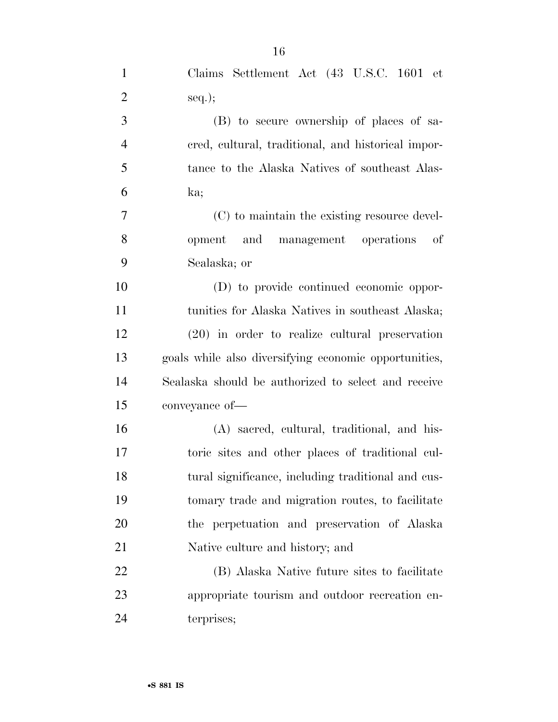| $\mathbf{1}$   | Claims Settlement Act (43 U.S.C. 1601 et              |
|----------------|-------------------------------------------------------|
| $\overline{2}$ | $seq.$ ;                                              |
| 3              | (B) to secure ownership of places of sa-              |
| $\overline{4}$ | ered, cultural, traditional, and historical impor-    |
| 5              | tance to the Alaska Natives of southeast Alas-        |
| 6              | ka;                                                   |
| 7              | (C) to maintain the existing resource devel-          |
| 8              | opment and management operations<br>of                |
| 9              | Sealaska; or                                          |
| 10             | (D) to provide continued economic oppor-              |
| 11             | tunities for Alaska Natives in southeast Alaska;      |
| 12             | $(20)$ in order to realize cultural preservation      |
| 13             | goals while also diversifying economic opportunities, |
| 14             | Sealaska should be authorized to select and receive   |
| 15             | conveyance of-                                        |
| 16             | (A) sacred, cultural, traditional, and his-           |
| 17             | toric sites and other places of traditional cul-      |
| 18             | tural significance, including traditional and cus-    |
| 19             | to to facilitate and migration routes, to facilitate  |
| 20             | the perpetuation and preservation of Alaska           |
| 21             | Native culture and history; and                       |
| 22             | (B) Alaska Native future sites to facilitate          |
| 23             | appropriate tourism and outdoor recreation en-        |
| 24             | terprises;                                            |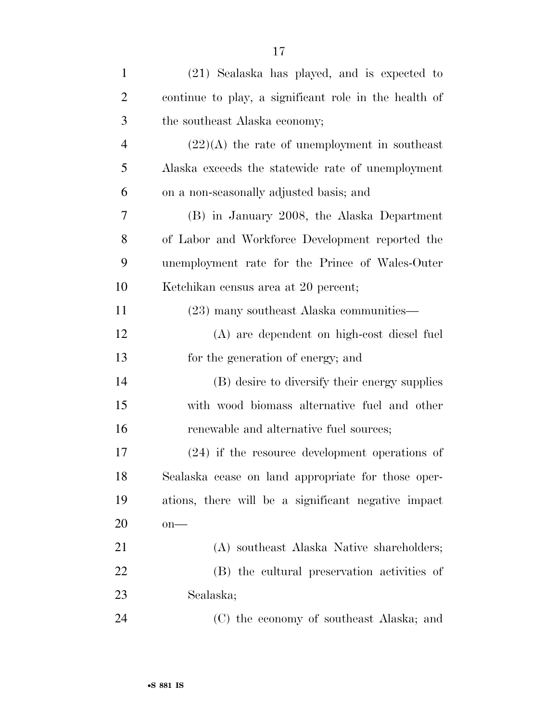| $\mathbf{1}$   | (21) Sealaska has played, and is expected to          |
|----------------|-------------------------------------------------------|
| $\overline{2}$ | continue to play, a significant role in the health of |
| 3              | the southeast Alaska economy;                         |
| $\overline{4}$ | $(22)(A)$ the rate of unemployment in southeast       |
| 5              | Alaska exceeds the statewide rate of unemployment     |
| 6              | on a non-seasonally adjusted basis; and               |
| 7              | (B) in January 2008, the Alaska Department            |
| 8              | of Labor and Workforce Development reported the       |
| 9              | unemployment rate for the Prince of Wales-Outer       |
| 10             | Ketchikan census area at 20 percent;                  |
| 11             | (23) many southeast Alaska communities—               |
| 12             | (A) are dependent on high-cost diesel fuel            |
| 13             | for the generation of energy; and                     |
| 14             | (B) desire to diversify their energy supplies         |
| 15             | with wood biomass alternative fuel and other          |
| 16             | renewable and alternative fuel sources;               |
| 17             | $(24)$ if the resource development operations of      |
| 18             | Sealaska cease on land appropriate for those oper-    |
| 19             | ations, there will be a significant negative impact   |
| 20             | $on$ —                                                |
| 21             | (A) southeast Alaska Native shareholders;             |
| 22             | (B) the cultural preservation activities of           |
| 23             | Sealaska;                                             |
| 24             | (C) the economy of southeast Alaska; and              |
|                |                                                       |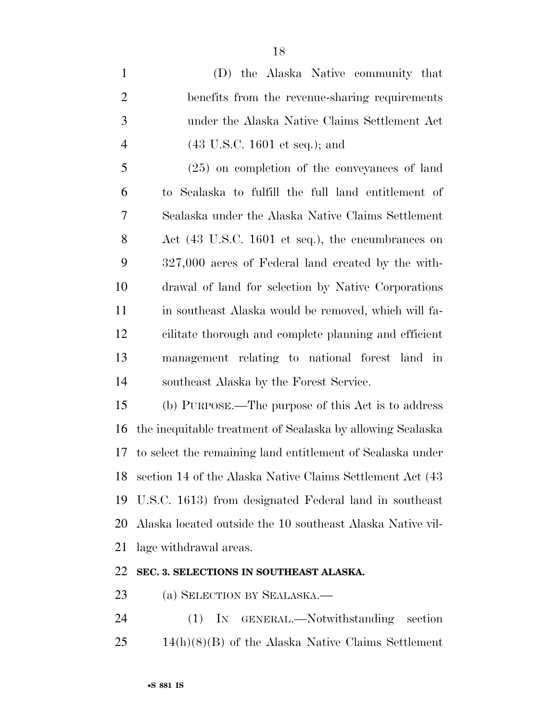(D) the Alaska Native community that benefits from the revenue-sharing requirements under the Alaska Native Claims Settlement Act (43 U.S.C. 1601 et seq.); and (25) on completion of the conveyances of land to Sealaska to fulfill the full land entitlement of Sealaska under the Alaska Native Claims Settlement Act (43 U.S.C. 1601 et seq.), the encumbrances on 327,000 acres of Federal land created by the with- drawal of land for selection by Native Corporations in southeast Alaska would be removed, which will fa- cilitate thorough and complete planning and efficient management relating to national forest land in southeast Alaska by the Forest Service. (b) PURPOSE.—The purpose of this Act is to address the inequitable treatment of Sealaska by allowing Sealaska to select the remaining land entitlement of Sealaska under section 14 of the Alaska Native Claims Settlement Act (43

 U.S.C. 1613) from designated Federal land in southeast Alaska located outside the 10 southeast Alaska Native vil-lage withdrawal areas.

### **SEC. 3. SELECTIONS IN SOUTHEAST ALASKA.**

(a) SELECTION BY SEALASKA.—

 (1) IN GENERAL.—Notwithstanding section 14(h)(8)(B) of the Alaska Native Claims Settlement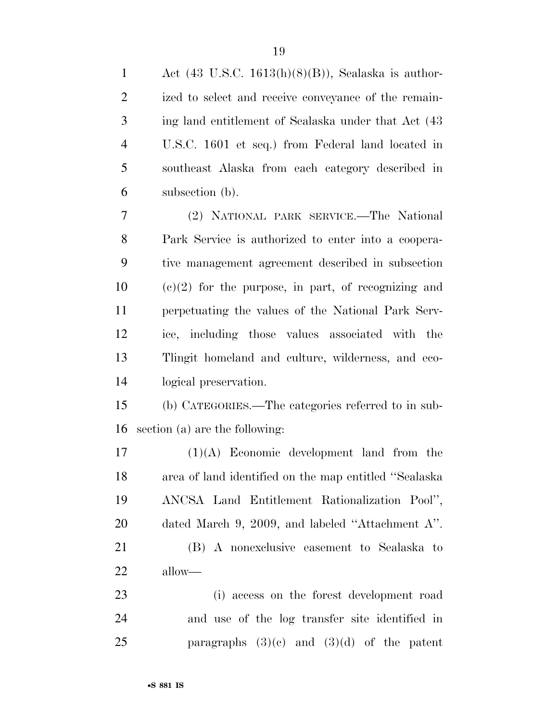| $\mathbf{1}$   | Act $(43 \text{ U.S.C. } 1613(h)(8)(B))$ , Sealaska is author- |
|----------------|----------------------------------------------------------------|
| $\overline{c}$ | ized to select and receive conveyance of the remain-           |
| 3              | ing land entitlement of Sealaska under that Act (43            |
| $\overline{4}$ | U.S.C. 1601 et seq.) from Federal land located in              |
| 5              | southeast Alaska from each category described in               |
| 6              | subsection (b).                                                |
| 7              | (2) NATIONAL PARK SERVICE.—The National                        |
| 8              | Park Service is authorized to enter into a coopera-            |
| 9              | tive management agreement described in subsection              |
| 10             | $(e)(2)$ for the purpose, in part, of recognizing and          |
| 11             | perpetuating the values of the National Park Serv-             |
| 12             | ice, including those values associated with the                |
| 13             | Tlingit homeland and culture, wilderness, and eco-             |
| 14             | logical preservation.                                          |
| 15             | (b) CATEGORIES.—The categories referred to in sub-             |
| 16             | section (a) are the following:                                 |
| 17             | $(1)(A)$ Economic development land from the                    |
| 18             | area of land identified on the map entitled "Sealaska          |
| 19             | ANCSA Land Entitlement Rationalization Pool",                  |
| 20             | dated March 9, 2009, and labeled "Attachment A".               |
| 21             | (B) A nonexclusive easement to Sealaska to                     |
| 22             | allow—                                                         |
| 23             | (i) access on the forest development road                      |
| 24             | and use of the log transfer site identified in                 |
| 25             | paragraphs $(3)(c)$ and $(3)(d)$ of the patent                 |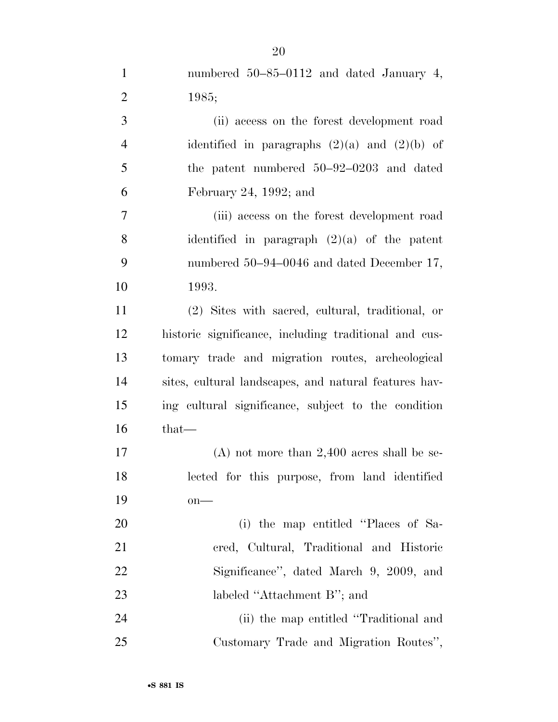| $\mathbf{1}$   | numbered $50-85-0112$ and dated January 4,            |
|----------------|-------------------------------------------------------|
| $\overline{2}$ | 1985;                                                 |
| $\mathfrak{Z}$ | (ii) access on the forest development road            |
| $\overline{4}$ | identified in paragraphs $(2)(a)$ and $(2)(b)$ of     |
| $\mathfrak{S}$ | the patent numbered $50-92-0203$ and dated            |
| 6              | February 24, 1992; and                                |
| $\overline{7}$ | (iii) access on the forest development road           |
| 8              | identified in paragraph $(2)(a)$ of the patent        |
| 9              | numbered 50–94–0046 and dated December 17,            |
| 10             | 1993.                                                 |
| 11             | (2) Sites with sacred, cultural, traditional, or      |
| 12             | historic significance, including traditional and cus- |
| 13             | tomary trade and migration routes, archeological      |
| 14             | sites, cultural landscapes, and natural features hav- |
| 15             | ing cultural significance, subject to the condition   |
| 16             | that—                                                 |
| 17             | $(A)$ not more than 2,400 acres shall be se-          |
| 18             | lected for this purpose, from land identified         |
| 19             | $on$ —                                                |
| 20             | (i) the map entitled "Places of Sa-                   |
| 21             | cred, Cultural, Traditional and Historic              |
| 22             | Significance", dated March 9, 2009, and               |
| 23             | labeled "Attachment B"; and                           |
| 24             | (ii) the map entitled "Traditional and                |
| 25             | Customary Trade and Migration Routes",                |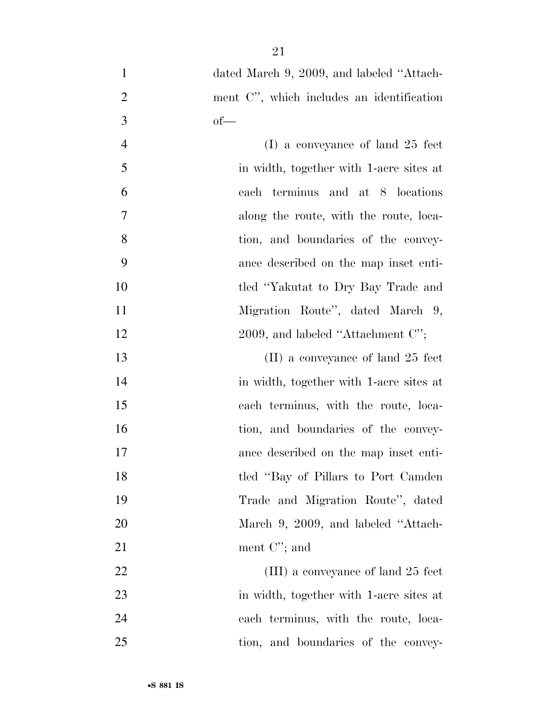| $\mathbf{1}$   | dated March 9, 2009, and labeled "Attach- |
|----------------|-------------------------------------------|
| $\overline{c}$ | ment C", which includes an identification |
| 3              | $of$ —                                    |
| $\overline{4}$ | $(I)$ a conveyance of land 25 feet        |
| 5              | in width, together with 1-acre sites at   |
| 6              | each terminus and at 8 locations          |
| $\tau$         | along the route, with the route, loca-    |
| 8              | tion, and boundaries of the convey-       |
| 9              | ance described on the map inset enti-     |
| 10             | tled "Yakutat to Dry Bay Trade and        |
| 11             | Migration Route", dated March 9,          |
| 12             | 2009, and labeled "Attachment $C$ ";      |
| 13             | $(II)$ a conveyance of land 25 feet       |
| 14             | in width, together with 1-acre sites at   |
| 15             | each terminus, with the route, loca-      |
| 16             | tion, and boundaries of the convey-       |
| 17             | ance described on the map inset enti-     |
| 18             | tled "Bay of Pillars to Port Camden       |
| 19             | Trade and Migration Route", dated         |
| 20             | March 9, 2009, and labeled "Attach-       |
| 21             | ment $C$ "; and                           |
| 22             | (III) a conveyance of land 25 feet        |
| 23             | in width, together with 1-acre sites at   |
| 24             | each terminus, with the route, loca-      |
| 25             | tion, and boundaries of the convey-       |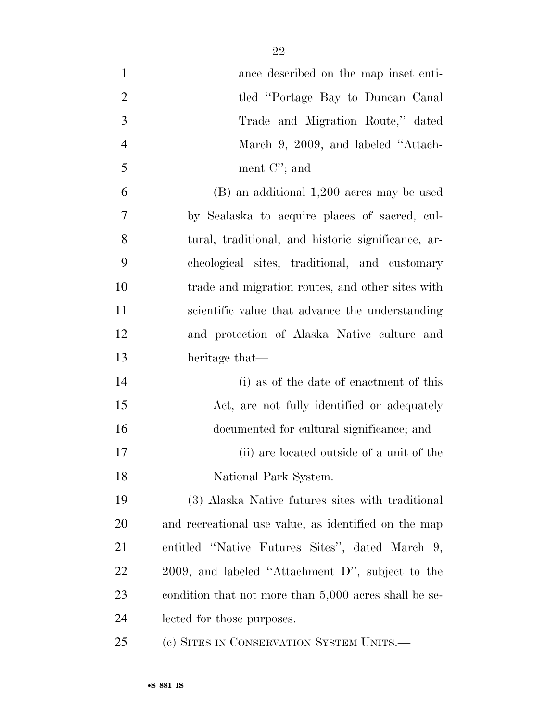| $\mathbf{1}$   | ance described on the map inset enti-                 |
|----------------|-------------------------------------------------------|
| $\overline{2}$ | tled "Portage Bay to Duncan Canal"                    |
| 3              | Trade and Migration Route," dated                     |
| $\overline{4}$ | March 9, 2009, and labeled "Attach-                   |
| 5              | ment $C$ '; and                                       |
| 6              | $(B)$ an additional 1,200 acres may be used           |
| $\overline{7}$ | by Sealaska to acquire places of sacred, cul-         |
| 8              | tural, traditional, and historic significance, ar-    |
| 9              | cheological sites, traditional, and customary         |
| 10             | trade and migration routes, and other sites with      |
| 11             | scientific value that advance the understanding       |
| 12             | and protection of Alaska Native culture and           |
| 13             | heritage that—                                        |
| 14             | (i) as of the date of enactment of this               |
| 15             | Act, are not fully identified or adequately           |
| 16             | documented for cultural significance; and             |
| 17             | (ii) are located outside of a unit of the             |
| 18             | National Park System.                                 |
| 19             | (3) Alaska Native futures sites with traditional      |
| <b>20</b>      | and recreational use value, as identified on the map  |
| 21             | entitled "Native Futures Sites", dated March 9,       |
| 22             | 2009, and labeled "Attachment D", subject to the      |
| 23             | condition that not more than 5,000 acres shall be se- |
| 24             | lected for those purposes.                            |
| 25             | (c) SITES IN CONSERVATION SYSTEM UNITS.—              |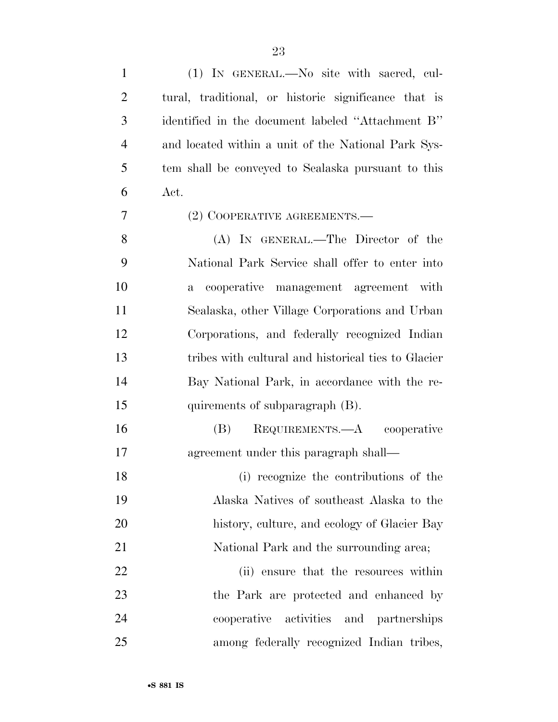| $\mathbf{1}$   | (1) IN GENERAL.—No site with sacred, cul-             |
|----------------|-------------------------------------------------------|
| $\overline{2}$ | tural, traditional, or historic significance that is  |
| 3              | identified in the document labeled "Attachment B"     |
| $\overline{4}$ | and located within a unit of the National Park Sys-   |
| 5              | tem shall be conveyed to Sealaska pursuant to this    |
| 6              | Act.                                                  |
| 7              | (2) COOPERATIVE AGREEMENTS.—                          |
| 8              | (A) IN GENERAL.—The Director of the                   |
| 9              | National Park Service shall offer to enter into       |
| 10             | cooperative management agreement with<br>$\mathbf{a}$ |
| 11             | Sealaska, other Village Corporations and Urban        |
| 12             | Corporations, and federally recognized Indian         |
| 13             | tribes with cultural and historical ties to Glacier   |
| 14             | Bay National Park, in accordance with the re-         |
| 15             | quirements of subparagraph (B).                       |
| 16             | REQUIREMENTS.—A cooperative<br>(B)                    |
| 17             | agreement under this paragraph shall—                 |
| 18             | (i) recognize the contributions of the                |
| 19             | Alaska Natives of southeast Alaska to the             |
| 20             | history, culture, and ecology of Glacier Bay          |
| 21             | National Park and the surrounding area;               |
| 22             | (ii) ensure that the resources within                 |
| 23             | the Park are protected and enhanced by                |
| 24             | activities and partnerships<br>cooperative            |
| 25             | among federally recognized Indian tribes,             |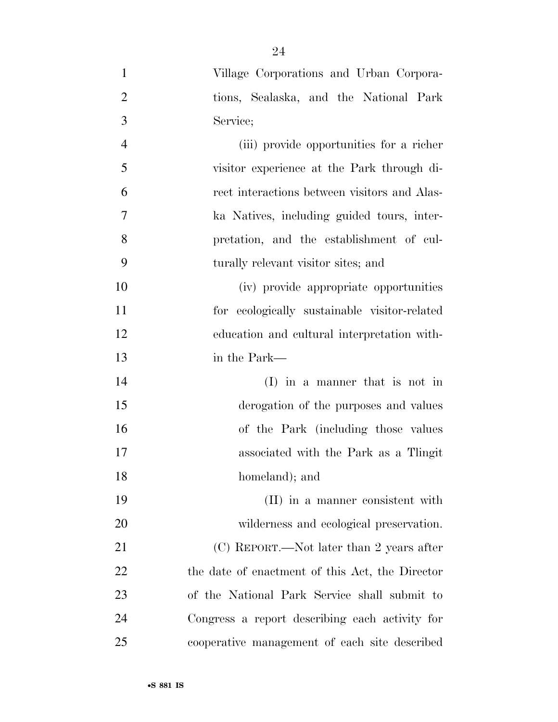| $\mathbf{1}$   | Village Corporations and Urban Corpora-         |
|----------------|-------------------------------------------------|
| $\overline{2}$ | tions, Sealaska, and the National Park          |
| 3              | Service;                                        |
| $\overline{4}$ | (iii) provide opportunities for a richer        |
| 5              | visitor experience at the Park through di-      |
| 6              | rect interactions between visitors and Alas-    |
| $\overline{7}$ | ka Natives, including guided tours, inter-      |
| 8              | pretation, and the establishment of cul-        |
| 9              | turally relevant visitor sites; and             |
| 10             | (iv) provide appropriate opportunities          |
| 11             | for ecologically sustainable visitor-related    |
| 12             | education and cultural interpretation with-     |
| 13             | in the Park—                                    |
| 14             | $(I)$ in a manner that is not in                |
| 15             | derogation of the purposes and values           |
| 16             | of the Park (including those values             |
| 17             | associated with the Park as a Tlingit           |
| 18             | homeland); and                                  |
| 19             | (II) in a manner consistent with                |
| 20             | wilderness and ecological preservation.         |
| 21             | (C) REPORT.—Not later than 2 years after        |
| 22             | the date of enactment of this Act, the Director |
| 23             | of the National Park Service shall submit to    |
| 24             | Congress a report describing each activity for  |
| 25             | cooperative management of each site described   |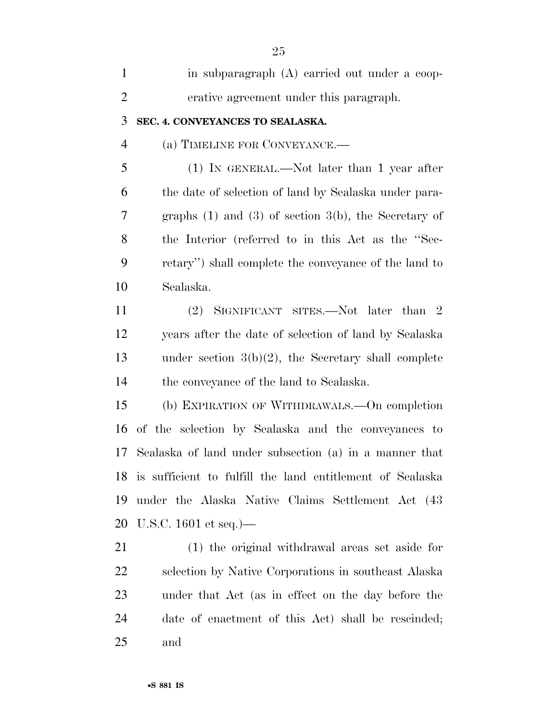| $\mathbf{1}$   | in subparagraph (A) carried out under a coop-                |
|----------------|--------------------------------------------------------------|
| $\overline{2}$ | erative agreement under this paragraph.                      |
| 3              | SEC. 4. CONVEYANCES TO SEALASKA.                             |
| $\overline{4}$ | (a) TIMELINE FOR CONVEYANCE.-                                |
| 5              | $(1)$ IN GENERAL.—Not later than 1 year after                |
| 6              | the date of selection of land by Sealaska under para-        |
| 7              | graphs $(1)$ and $(3)$ of section $3(b)$ , the Secretary of  |
| 8              | the Interior (referred to in this Act as the "Sec-           |
| 9              | retary") shall complete the conveyance of the land to        |
| 10             | Sealaska.                                                    |
| 11             | (2) SIGNIFICANT SITES.—Not later than 2                      |
| 12             | years after the date of selection of land by Sealaska        |
| 13             | under section $3(b)(2)$ , the Secretary shall complete       |
| 14             | the conveyance of the land to Sealaska.                      |
| 15             | (b) EXPIRATION OF WITHDRAWALS.—On completion                 |
| 16             | of the selection by Sealaska and the conveyances to          |
| 17             | Sealaska of land under subsection (a) in a manner that       |
|                | 18 is sufficient to fulfill the land entitlement of Sealaska |
| 19             | under the Alaska Native Claims Settlement Act (43)           |
| 20             | U.S.C. $1601$ et seq.)—                                      |
| 21             | (1) the original withdrawal areas set aside for              |
| 22             | selection by Native Corporations in southeast Alaska         |
| 23             | under that Act (as in effect on the day before the           |
| 24             | date of enactment of this Act) shall be rescinded;           |
| 25             | and                                                          |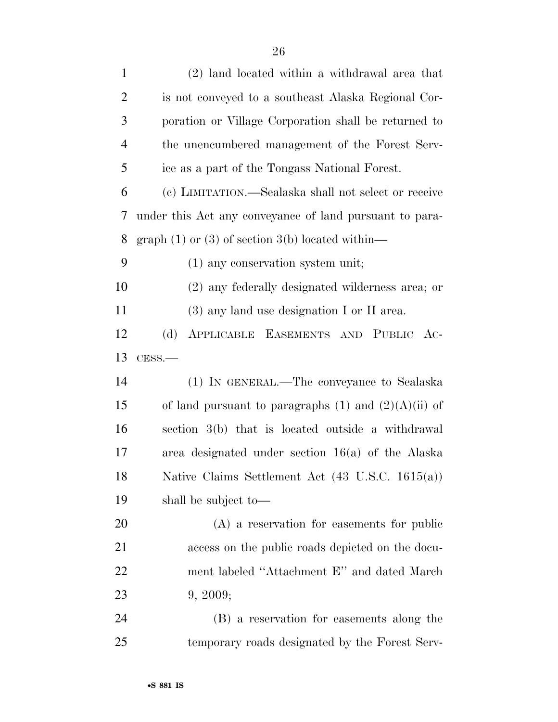| $\mathbf{1}$   | (2) land located within a withdrawal area that              |
|----------------|-------------------------------------------------------------|
| $\overline{2}$ | is not conveyed to a southeast Alaska Regional Cor-         |
| 3              | poration or Village Corporation shall be returned to        |
| $\overline{4}$ | the unencumbered management of the Forest Serv-             |
| 5              | ice as a part of the Tongass National Forest.               |
| 6              | (c) LIMITATION.—Sealaska shall not select or receive        |
| 7              | under this Act any conveyance of land pursuant to para-     |
| 8              | graph $(1)$ or $(3)$ of section $3(b)$ located within—      |
| 9              | $(1)$ any conservation system unit;                         |
| 10             | (2) any federally designated wilderness area; or            |
| 11             | $(3)$ any land use designation I or II area.                |
| 12             | (d)<br>APPLICABLE EASEMENTS AND PUBLIC AC-                  |
| 13             | $CESS$ .                                                    |
| 14             | (1) IN GENERAL.—The conveyance to Sealaska                  |
| 15             | of land pursuant to paragraphs $(1)$ and $(2)(A)(ii)$ of    |
| 16             | section 3(b) that is located outside a withdrawal           |
| 17             | area designated under section $16(a)$ of the Alaska         |
| 18             | Native Claims Settlement Act $(43 \text{ U.S.C. } 1615(a))$ |
| 19             | shall be subject to—                                        |
| 20             | $(A)$ a reservation for easements for public                |
| 21             | access on the public roads depicted on the docu-            |
| <u>22</u>      | ment labeled "Attachment E" and dated March                 |
| 23             | 9, 2009;                                                    |
| 24             | (B) a reservation for easements along the                   |
| 25             | temporary roads designated by the Forest Serv-              |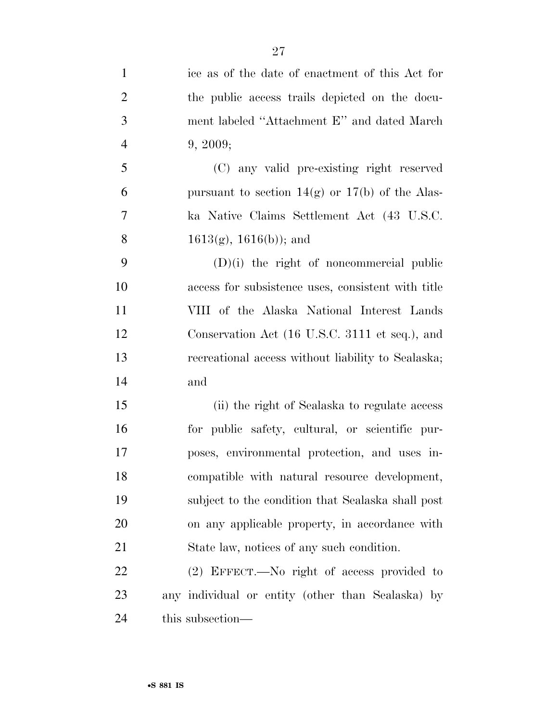| $\mathbf{1}$   | ice as of the date of enactment of this Act for     |
|----------------|-----------------------------------------------------|
| $\overline{2}$ | the public access trails depicted on the docu-      |
| 3              | ment labeled "Attachment E" and dated March         |
| $\overline{4}$ | 9, 2009;                                            |
| 5              | (C) any valid pre-existing right reserved           |
| 6              | pursuant to section $14(g)$ or $17(b)$ of the Alas- |
| 7              | ka Native Claims Settlement Act (43 U.S.C.          |
| 8              | $1613(g), 1616(b)$ ; and                            |
| 9              | $(D)(i)$ the right of noncommercial public          |
| 10             | access for subsistence uses, consistent with title  |
| 11             | VIII of the Alaska National Interest Lands          |
| 12             | Conservation Act (16 U.S.C. 3111 et seq.), and      |
| 13             | recreational access without liability to Sealaska;  |
| 14             | and                                                 |
| 15             | (ii) the right of Sealaska to regulate access       |
| 16             | for public safety, cultural, or scientific pur-     |
| 17             | poses, environmental protection, and uses in-       |
| 18             | compatible with natural resource development,       |
| 19             | subject to the condition that Sealaska shall post   |
| 20             | on any applicable property, in accordance with      |
| 21             | State law, notices of any such condition.           |
| 22             | $(2)$ EFFECT.—No right of access provided to        |
| 23             | any individual or entity (other than Sealaska) by   |
| 24             | this subsection—                                    |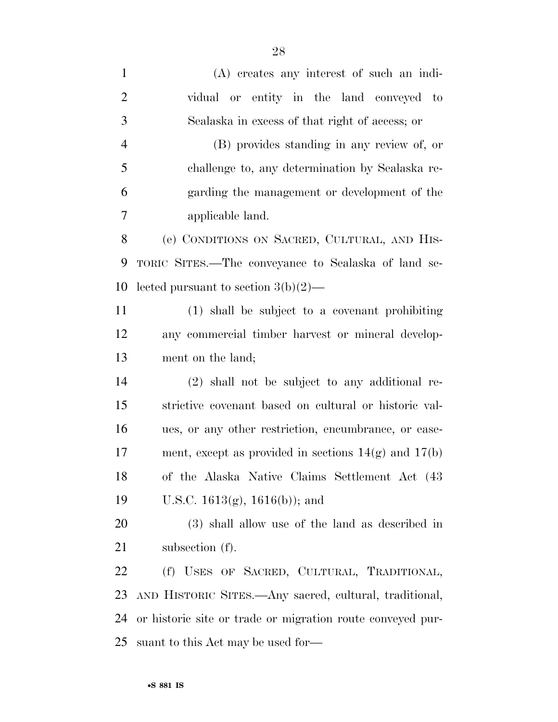| $\mathbf{1}$   | (A) creates any interest of such an indi-                  |
|----------------|------------------------------------------------------------|
| $\overline{2}$ | vidual or entity in the land conveyed to                   |
| 3              | Sealaska in excess of that right of access; or             |
| $\overline{4}$ | (B) provides standing in any review of, or                 |
| 5              | challenge to, any determination by Sealaska re-            |
| 6              | garding the management or development of the               |
| 7              | applicable land.                                           |
| 8              | (e) CONDITIONS ON SACRED, CULTURAL, AND HIS-               |
| 9              | TORIC SITES.—The conveyance to Sealaska of land se-        |
| 10             | lected pursuant to section $3(b)(2)$ —                     |
| 11             | (1) shall be subject to a covenant prohibiting             |
| 12             | any commercial timber harvest or mineral develop-          |
| 13             | ment on the land;                                          |
| 14             | (2) shall not be subject to any additional re-             |
| 15             | strictive covenant based on cultural or historic val-      |
| 16             | ues, or any other restriction, encumbrance, or ease-       |
| 17             | ment, except as provided in sections $14(g)$ and $17(b)$   |
| 18             | of the Alaska Native Claims Settlement Act (43)            |
| 19             | U.S.C. $1613(g)$ , $1616(b)$ ; and                         |
| 20             | (3) shall allow use of the land as described in            |
| 21             | subsection $(f)$ .                                         |
| 22             | (f) USES OF SACRED, CULTURAL, TRADITIONAL,                 |
| 23             | AND HISTORIC SITES.—Any sacred, cultural, traditional,     |
| 24             | or historic site or trade or migration route conveyed pur- |
| 25             | suant to this Act may be used for—                         |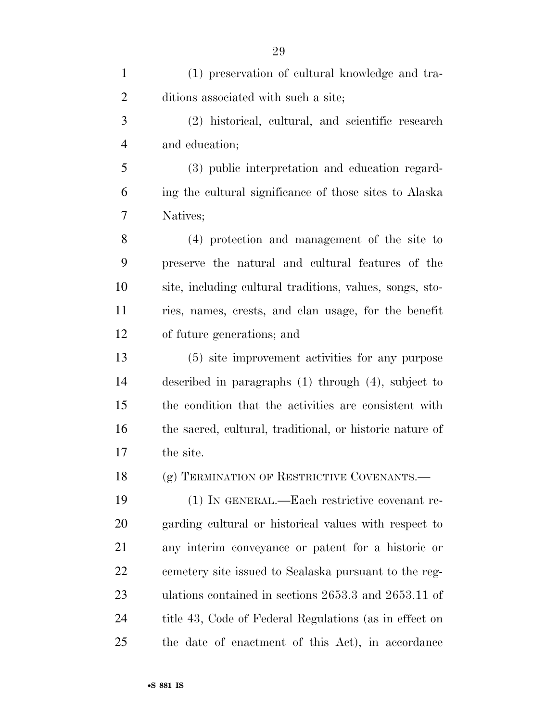| $\mathbf{1}$   | (1) preservation of cultural knowledge and tra-          |
|----------------|----------------------------------------------------------|
| $\overline{2}$ | ditions associated with such a site;                     |
| 3              | (2) historical, cultural, and scientific research        |
| $\overline{4}$ | and education;                                           |
| 5              | (3) public interpretation and education regard-          |
| 6              | ing the cultural significance of those sites to Alaska   |
| 7              | Natives;                                                 |
| 8              | (4) protection and management of the site to             |
| 9              | preserve the natural and cultural features of the        |
| 10             | site, including cultural traditions, values, songs, sto- |
| 11             | ries, names, crests, and clan usage, for the benefit     |
| 12             | of future generations; and                               |
| 13             | (5) site improvement activities for any purpose          |
| 14             | described in paragraphs $(1)$ through $(4)$ , subject to |
| 15             | the condition that the activities are consistent with    |
| 16             | the sacred, cultural, traditional, or historic nature of |
| 17             | the site.                                                |
| 18             | (g) TERMINATION OF RESTRICTIVE COVENANTS.—               |
| 19             | (1) IN GENERAL.—Each restrictive covenant re-            |
| 20             | garding cultural or historical values with respect to    |
| 21             | any interim conveyance or patent for a historic or       |
| 22             | cemetery site issued to Sealaska pursuant to the reg-    |
| 23             | ulations contained in sections 2653.3 and 2653.11 of     |
| 24             | title 43, Code of Federal Regulations (as in effect on   |
| 25             | the date of enactment of this Act), in accordance        |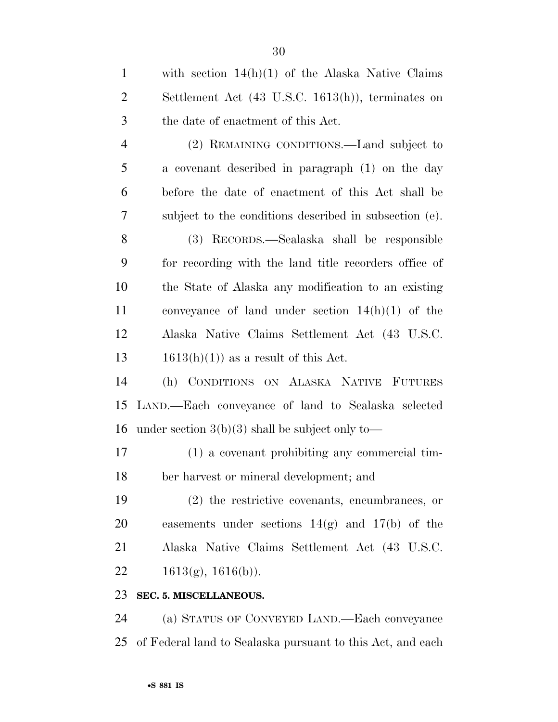| $\mathbf{1}$   | with section $14(h)(1)$ of the Alaska Native Claims           |
|----------------|---------------------------------------------------------------|
| $\overline{c}$ | Settlement Act $(43 \text{ U.S.C. } 1613(h))$ , terminates on |
| $\mathfrak{Z}$ | the date of enactment of this Act.                            |
| $\overline{4}$ | (2) REMAINING CONDITIONS.—Land subject to                     |
| 5              | a covenant described in paragraph (1) on the day              |
| 6              | before the date of enactment of this Act shall be             |
| 7              | subject to the conditions described in subsection (e).        |
| 8              | (3) RECORDS.—Sealaska shall be responsible                    |
| 9              | for recording with the land title recorders office of         |
| 10             | the State of Alaska any modification to an existing           |
| 11             | conveyance of land under section $14(h)(1)$ of the            |
| 12             | Alaska Native Claims Settlement Act (43 U.S.C.                |
| 13             | $1613(h)(1)$ as a result of this Act.                         |
| 14             | (h) CONDITIONS ON ALASKA NATIVE FUTURES                       |
| 15             | LAND.—Each conveyance of land to Sealaska selected            |
| 16             | under section $3(b)(3)$ shall be subject only to—             |
| 17             | (1) a covenant prohibiting any commercial tim-                |
| 18             | ber harvest or mineral development; and                       |
| 19             | $(2)$ the restrictive covenants, encumbrances, or             |
| 20             | easements under sections $14(g)$ and $17(b)$ of the           |
| 21             | Alaska Native Claims Settlement Act (43 U.S.C.                |
| 22             | $1613(g), 1616(b)$ .                                          |
| 23             | SEC. 5. MISCELLANEOUS.                                        |
| 24             | (a) STATUS OF CONVEYED LAND.—Each conveyance                  |
| 25             | of Federal land to Sealaska pursuant to this Act, and each    |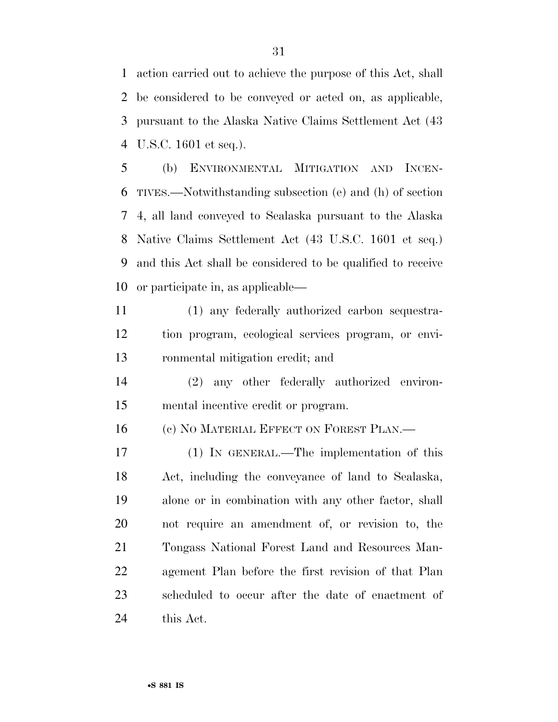action carried out to achieve the purpose of this Act, shall be considered to be conveyed or acted on, as applicable, pursuant to the Alaska Native Claims Settlement Act (43 U.S.C. 1601 et seq.).

 (b) ENVIRONMENTAL MITIGATION AND INCEN- TIVES.—Notwithstanding subsection (e) and (h) of section 4, all land conveyed to Sealaska pursuant to the Alaska Native Claims Settlement Act (43 U.S.C. 1601 et seq.) and this Act shall be considered to be qualified to receive or participate in, as applicable—

 (1) any federally authorized carbon sequestra- tion program, ecological services program, or envi-ronmental mitigation credit; and

 (2) any other federally authorized environ-mental incentive credit or program.

16 (c) NO MATERIAL EFFECT ON FOREST PLAN.—

 (1) IN GENERAL.—The implementation of this Act, including the conveyance of land to Sealaska, alone or in combination with any other factor, shall not require an amendment of, or revision to, the Tongass National Forest Land and Resources Man- agement Plan before the first revision of that Plan scheduled to occur after the date of enactment of this Act.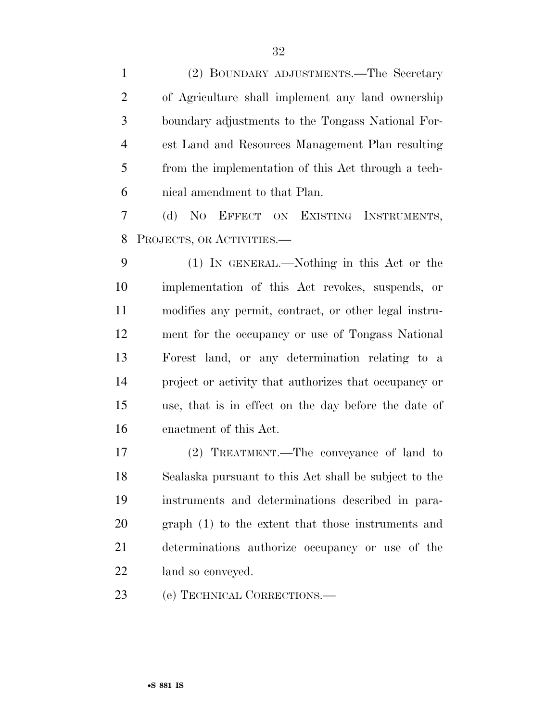| $\mathbf{1}$   | (2) BOUNDARY ADJUSTMENTS.—The Secretary               |
|----------------|-------------------------------------------------------|
| $\overline{2}$ | of Agriculture shall implement any land ownership     |
| 3              | boundary adjustments to the Tongass National For-     |
| $\overline{4}$ | est Land and Resources Management Plan resulting      |
| 5              | from the implementation of this Act through a tech-   |
| 6              | nical amendment to that Plan.                         |
| 7              | (d) NO EFFECT ON EXISTING INSTRUMENTS,                |
| 8              | PROJECTS, OR ACTIVITIES.                              |
| 9              | (1) IN GENERAL.—Nothing in this Act or the            |
| 10             | implementation of this Act revokes, suspends, or      |
| 11             | modifies any permit, contract, or other legal instru- |
| 12             | ment for the occupancy or use of Tongass National     |
| 13             | Forest land, or any determination relating to a       |
| 14             | project or activity that authorizes that occupancy or |
| 15             | use, that is in effect on the day before the date of  |
| 16             | enactment of this Act.                                |
| 17             | (2) TREATMENT.—The conveyance of land to              |
| 18             | Sealaska pursuant to this Act shall be subject to the |
| 19             | instruments and determinations described in para-     |
| 20             | graph (1) to the extent that those instruments and    |
| 21             | determinations authorize occupancy or use of the      |
| 22             | land so conveyed.                                     |
| 23             | (e) TECHNICAL CORRECTIONS.—                           |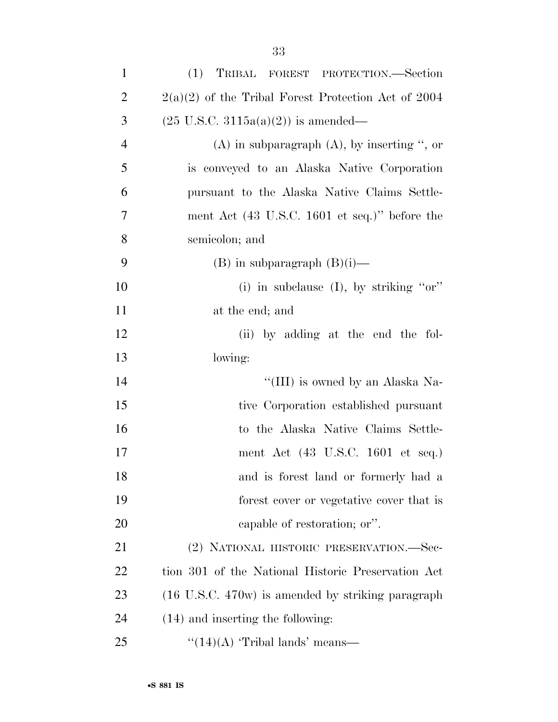| $\mathbf{1}$   | (1) TRIBAL FOREST PROTECTION.—Section                             |
|----------------|-------------------------------------------------------------------|
| $\overline{2}$ | $2(a)(2)$ of the Tribal Forest Protection Act of 2004             |
| 3              | $(25 \text{ U.S.C. } 3115a(a)(2))$ is amended—                    |
| $\overline{4}$ | $(A)$ in subparagraph $(A)$ , by inserting ", or                  |
| 5              | is conveyed to an Alaska Native Corporation                       |
| 6              | pursuant to the Alaska Native Claims Settle-                      |
| 7              | ment Act $(43 \text{ U.S.C. } 1601 \text{ et seq.})$ " before the |
| 8              | semicolon; and                                                    |
| 9              | $(B)$ in subparagraph $(B)(i)$ —                                  |
| 10             | (i) in subclause $(I)$ , by striking "or"                         |
| 11             | at the end; and                                                   |
| 12             | (ii) by adding at the end the fol-                                |
| 13             | lowing:                                                           |
| 14             | "(III) is owned by an Alaska Na-                                  |
| 15             | tive Corporation established pursuant                             |
| 16             | to the Alaska Native Claims Settle-                               |
| 17             | ment Act (43 U.S.C. 1601 et seq.)                                 |
| 18             | and is forest land or formerly had a                              |
| 19             | forest cover or vegetative cover that is                          |
| 20             | capable of restoration; or".                                      |
| 21             | (2) NATIONAL HISTORIC PRESERVATION.—Sec-                          |
| 22             | tion 301 of the National Historic Preservation Act                |
| 23             | (16 U.S.C. 470w) is amended by striking paragraph                 |
| 24             | $(14)$ and inserting the following:                               |
| 25             | " $(14)(A)$ 'Tribal lands' means—                                 |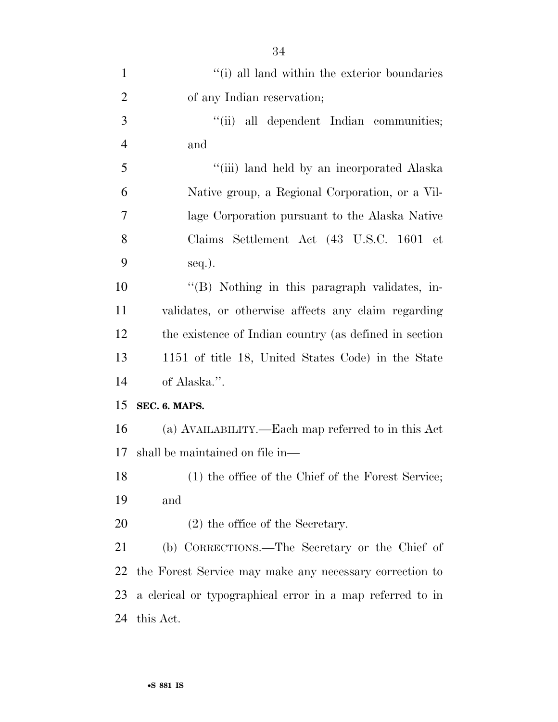| $\mathbf{1}$   | "(i) all land within the exterior boundaries              |
|----------------|-----------------------------------------------------------|
| $\overline{2}$ | of any Indian reservation;                                |
| 3              | "(ii) all dependent Indian communities;                   |
| $\overline{4}$ | and                                                       |
| 5              | "(iii) land held by an incorporated Alaska                |
| 6              | Native group, a Regional Corporation, or a Vil-           |
| 7              | lage Corporation pursuant to the Alaska Native            |
| 8              | Claims Settlement Act (43 U.S.C. 1601 et                  |
| 9              | $seq.$ ).                                                 |
| 10             | "(B) Nothing in this paragraph validates, in-             |
| 11             | validates, or otherwise affects any claim regarding       |
| 12             | the existence of Indian country (as defined in section    |
| 13             | 1151 of title 18, United States Code) in the State        |
| 14             | of Alaska.".                                              |
| 15             | SEC. 6. MAPS.                                             |
| 16             | (a) AVAILABILITY.—Each map referred to in this Act        |
| 17             | shall be maintained on file in—                           |
| 18             | (1) the office of the Chief of the Forest Service;        |
| 19             | and                                                       |
| 20             | $(2)$ the office of the Secretary.                        |
| 21             | (b) CORRECTIONS.—The Secretary or the Chief of            |
| 22             | the Forest Service may make any necessary correction to   |
| 23             | a clerical or typographical error in a map referred to in |
| 24             | this Act.                                                 |